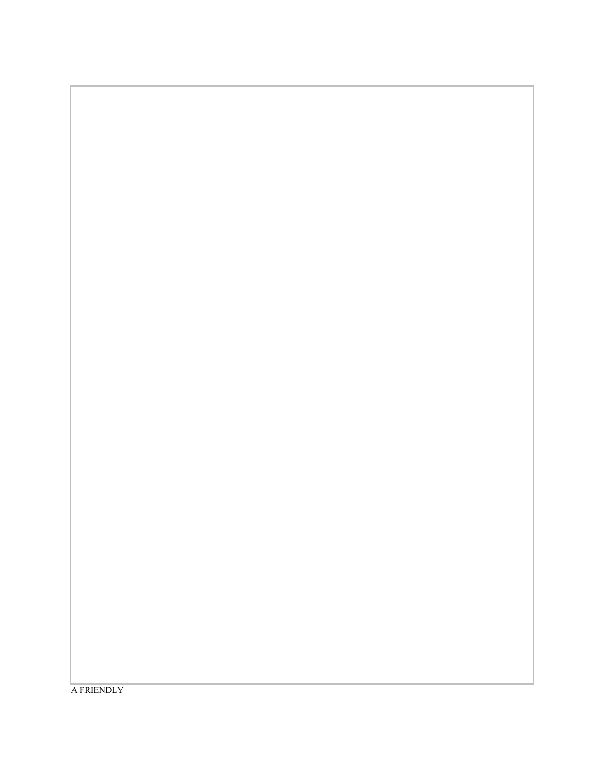A FRIENDLY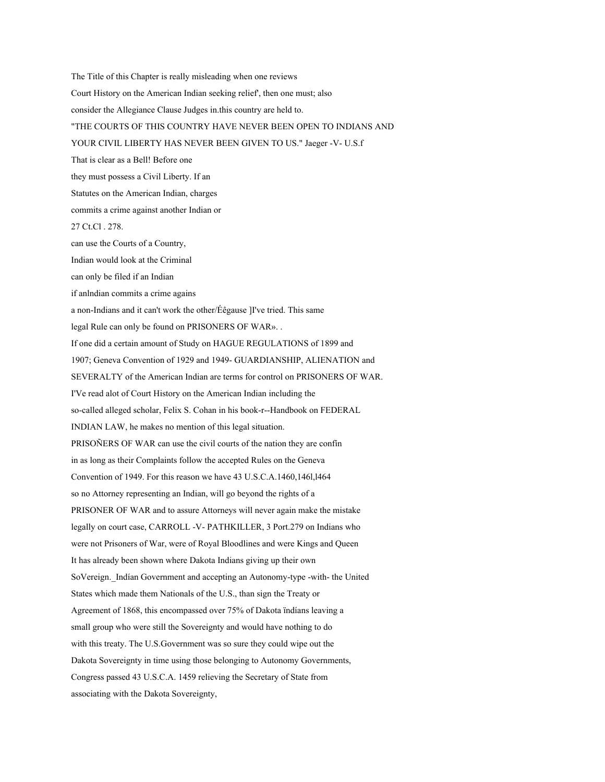The Title of this Chapter is really misleading when one reviews Court History on the American Indian seeking relief', then one must; also consider the Allegiance Clause Judges in.this country are held to. "THE COURTS OF THIS COUNTRY HAVE NEVER BEEN OPEN TO INDIANS AND YOUR CIVIL LIBERTY HAS NEVER BEEN GIVEN TO US." Jaeger -V- U.S.f That is clear as a Bell! Before one they must possess a Civil Liberty. If an Statutes on the American Indian, charges commits a crime against another Indian or 27 Ct.Cl . 278. can use the Courts of a Country, Indian would look at the Criminal can only be filed if an Indian if anlndian commits a crime agains a non-Indians and it can't work the other/Éêgause ]I've tried. This same legal Rule can only be found on PRISONERS OF WAR». . If one did a certain amount of Study on HAGUE REGULATIONS of 1899 and 1907; Geneva Convention of 1929 and 1949 GUARDIANSHIP, ALIENATION and SEVERALTY of the American Indian are terms for control on PRISONERS OF WAR. I'Ve read alot of Court History on the American Indian including the so-called alleged scholar, Felix S. Cohan in his book-r--Handbook on FEDERAL INDIAN LAW, he makes no mention of this legal situation. PRISOÑERS OF WAR can use the civil courts of the nation they are confín in as long as their Complaints follow the accepted Rules on the Geneva Convention of 1949. For this reason we have 43 U.S.C.A.1460,146l,l464 so no Attorney representing an Indian, will go beyond the rights of a PRISONER OF WAR and to assure Attorneys will never again make the mistake legally on court case, CARROLL -V- PATHKILLER, 3 Port.279 on Indians who were not Prisoners of War, were of Royal Bloodlines and were Kings and Queen It has already been shown where Dakota Indians giving up their own SoVereign. Indían Government and accepting an Autonomy-type -with- the United States which made them Nationals of the U.S., than sign the Treaty or Agreement of 1868, this encompassed over 75% of Dakota ïndíans leaving a small group who were still the Sovereignty and would have nothing to do with this treaty. The U.S.Government was so sure they could wipe out the Dakota Sovereignty in time using those belonging to Autonomy Governments, Congress passed 43 U.S.C.A. 1459 relieving the Secretary of State from associating with the Dakota Sovereignty,